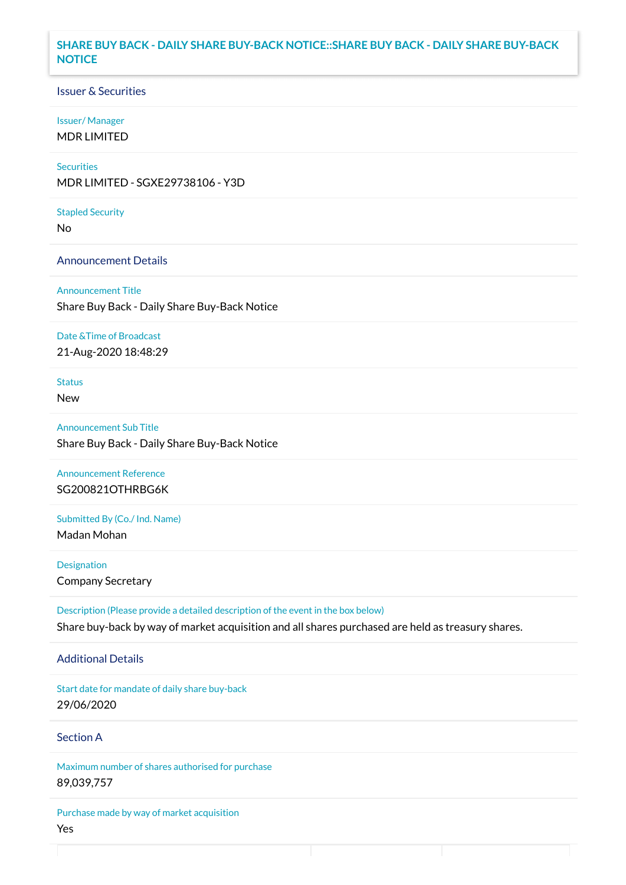## **SHARE BUY BACK - DAILY SHARE BUY-BACK NOTICE::SHARE BUY BACK - DAILY SHARE BUY-BACK NOTICE**

### Issuer & Securities

#### Issuer/ Manager

MDR LIMITED

# **Securities**

MDR LIMITED - SGXE29738106 - Y3D

#### Stapled Security

No

### Announcement Details

Announcement Title Share Buy Back - Daily Share Buy-Back Notice

#### Date &Time of Broadcast

21-Aug-2020 18:48:29

# Status

New

Announcement Sub Title Share Buy Back - Daily Share Buy-Back Notice

# Announcement Reference SG200821OTHRBG6K

Submitted By (Co./ Ind. Name)

Madan Mohan

**Designation** Company Secretary

Description (Please provide a detailed description of the event in the box below) Share buy-back by way of market acquisition and all shares purchased are held as treasury shares.

#### Additional Details

Start date for mandate of daily share buy-back 29/06/2020

## Section A

Maximum number of shares authorised for purchase 89,039,757

Purchase made by way of market acquisition Yes